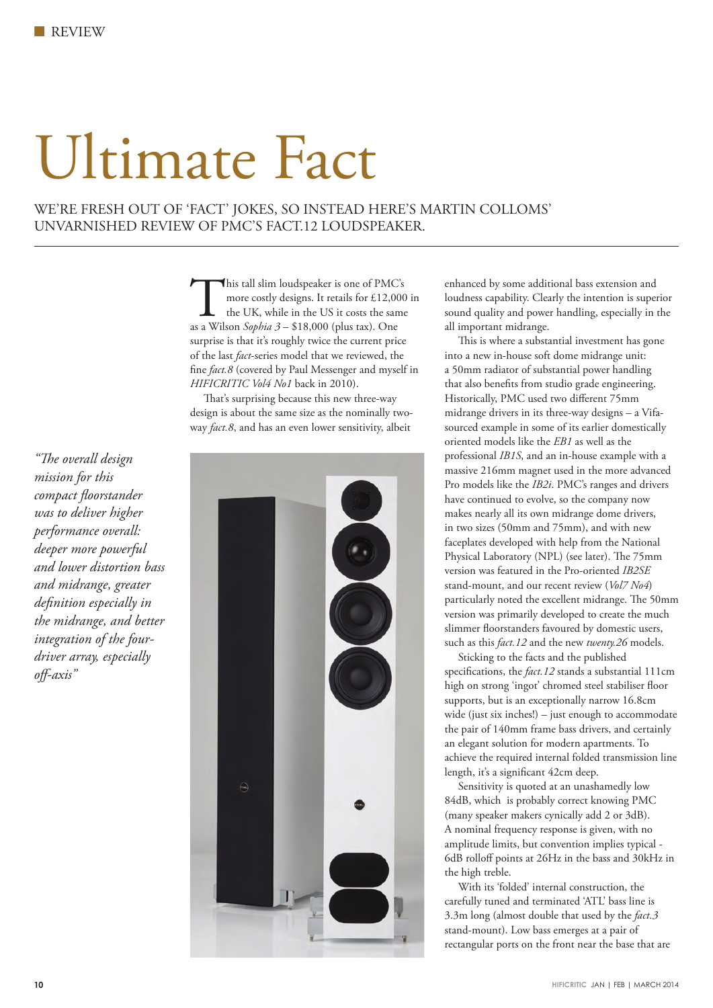## Ultimate Fact

WE'RE FRESH OUT OF 'FACT' JOKES, SO INSTEAD HERE'S MARTIN COLLOMS' UNVARNISHED REVIEW OF PMC'S FACT.12 LOUDSPEAKER.

> This tall slim loudspeaker is one of PMC's<br>more costly designs. It retails for £12,000<br>the UK, while in the US it costs the same<br>as a Wilson *Sophia 3* – \$18,000 (plus tax). One more costly designs. It retails for £12,000 in the UK, while in the US it costs the same surprise is that it's roughly twice the current price of the last *fact*-series model that we reviewed, the fine *fact.8* (covered by Paul Messenger and myself in *HIFICRITIC Vol4 No1* back in 2010).

That's surprising because this new three-way design is about the same size as the nominally twoway *fact.8*, and has an even lower sensitivity, albeit



enhanced by some additional bass extension and loudness capability. Clearly the intention is superior sound quality and power handling, especially in the all important midrange.

 This is where a substantial investment has gone into a new in-house soft dome midrange unit: a 50mm radiator of substantial power handling that also benefits from studio grade engineering. Historically, PMC used two different 75mm midrange drivers in its three-way designs – a Vifasourced example in some of its earlier domestically oriented models like the *EB1* as well as the professional *IB1S*, and an in-house example with a massive 216mm magnet used in the more advanced Pro models like the *IB2i*. PMC's ranges and drivers have continued to evolve, so the company now makes nearly all its own midrange dome drivers, in two sizes (50mm and 75mm), and with new faceplates developed with help from the National Physical Laboratory (NPL) (see later). The 75mm version was featured in the Pro-oriented *IB2SE* stand-mount, and our recent review (*Vol7 No4*) particularly noted the excellent midrange. The 50mm version was primarily developed to create the much slimmer floorstanders favoured by domestic users, such as this *fact.12* and the new *twenty.26* models.

Sticking to the facts and the published specifications, the *fact.12* stands a substantial 111cm high on strong 'ingot' chromed steel stabiliser floor supports, but is an exceptionally narrow 16.8cm wide (just six inches!) – just enough to accommodate the pair of 140mm frame bass drivers, and certainly an elegant solution for modern apartments. To achieve the required internal folded transmission line length, it's a significant 42cm deep.

 Sensitivity is quoted at an unashamedly low 84dB, which is probably correct knowing PMC (many speaker makers cynically add 2 or 3dB). A nominal frequency response is given, with no amplitude limits, but convention implies typical - 6dB rolloff points at 26Hz in the bass and 30kHz in the high treble.

 With its 'folded' internal construction, the carefully tuned and terminated 'ATL' bass line is 3.3m long (almost double that used by the *fact.3* stand-mount). Low bass emerges at a pair of rectangular ports on the front near the base that are

*"The overall design mission for this compact floorstander was to deliver higher performance overall: deeper more powerful and lower distortion bass and midrange, greater definition especially in the midrange, and better integration of the fourdriver array, especially off-axis"*